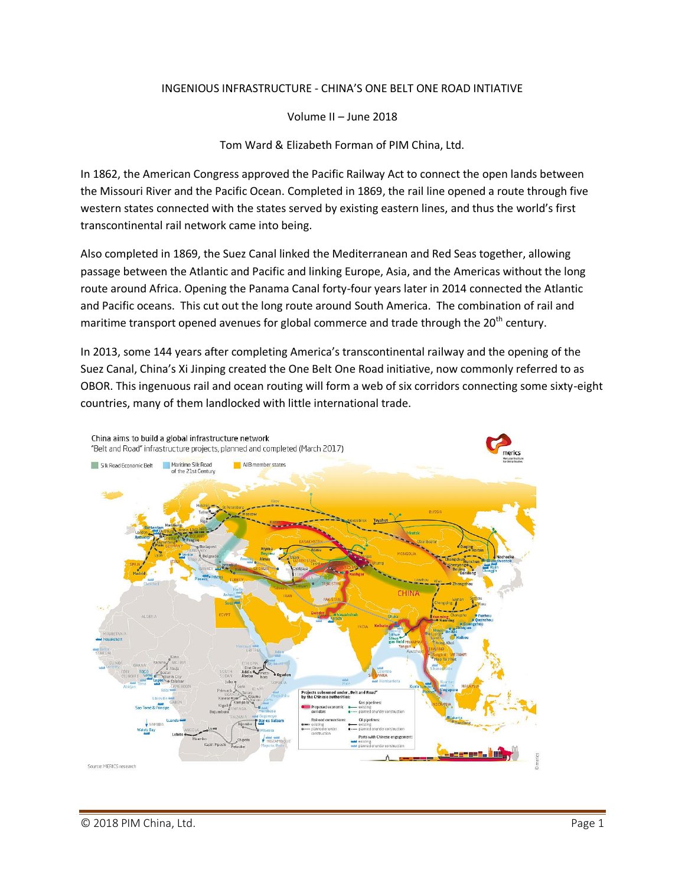## INGENIOUS INFRASTRUCTURE - CHINA'S ONE BELT ONE ROAD INTIATIVE

Volume II – June 2018

Tom Ward & Elizabeth Forman of PIM China, Ltd.

In 1862, the American Congress approved the Pacific Railway Act to connect the open lands between the Missouri River and the Pacific Ocean. Completed in 1869, the rail line opened a route through five western states connected with the states served by existing eastern lines, and thus the world's first transcontinental rail network came into being.

Also completed in 1869, the Suez Canal linked the Mediterranean and Red Seas together, allowing passage between the Atlantic and Pacific and linking Europe, Asia, and the Americas without the long route around Africa. Opening the Panama Canal forty-four years later in 2014 connected the Atlantic and Pacific oceans. This cut out the long route around South America. The combination of rail and maritime transport opened avenues for global commerce and trade through the 20<sup>th</sup> century.

In 2013, some 144 years after completing America's transcontinental railway and the opening of the Suez Canal, China's Xi Jinping created the One Belt One Road initiative, now commonly referred to as OBOR. This ingenuous rail and ocean routing will form a web of six corridors connecting some sixty-eight countries, many of them landlocked with little international trade.

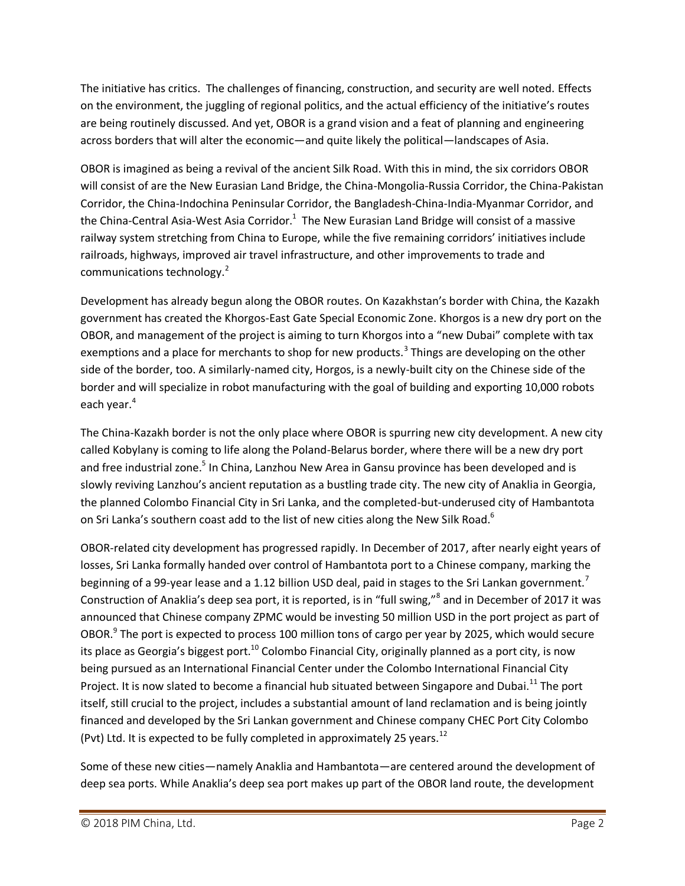The initiative has critics. The challenges of financing, construction, and security are well noted. Effects on the environment, the juggling of regional politics, and the actual efficiency of the initiative's routes are being routinely discussed. And yet, OBOR is a grand vision and a feat of planning and engineering across borders that will alter the economic—and quite likely the political—landscapes of Asia.

OBOR is imagined as being a revival of the ancient Silk Road. With this in mind, the six corridors OBOR will consist of are the New Eurasian Land Bridge, the China-Mongolia-Russia Corridor, the China-Pakistan Corridor, the China-Indochina Peninsular Corridor, the Bangladesh-China-India-Myanmar Corridor, and the China-Central Asia-West Asia Corridor.<sup>1</sup> The New Eurasian Land Bridge will consist of a massive railway system stretching from China to Europe, while the five remaining corridors' initiatives include railroads, highways, improved air travel infrastructure, and other improvements to trade and communications technology.<sup>2</sup>

Development has already begun along the OBOR routes. On Kazakhstan's border with China, the Kazakh government has created the Khorgos-East Gate Special Economic Zone. Khorgos is a new dry port on the OBOR, and management of the project is aiming to turn Khorgos into a "new Dubai" complete with tax exemptions and a place for merchants to shop for new products.<sup>3</sup> Things are developing on the other side of the border, too. A similarly-named city, Horgos, is a newly-built city on the Chinese side of the border and will specialize in robot manufacturing with the goal of building and exporting 10,000 robots each year.<sup>4</sup>

The China-Kazakh border is not the only place where OBOR is spurring new city development. A new city called Kobylany is coming to life along the Poland-Belarus border, where there will be a new dry port and free industrial zone.<sup>5</sup> In China, Lanzhou New Area in Gansu province has been developed and is slowly reviving Lanzhou's ancient reputation as a bustling trade city. The new city of Anaklia in Georgia, the planned Colombo Financial City in Sri Lanka, and the completed-but-underused city of Hambantota on Sri Lanka's southern coast add to the list of new cities along the New Silk Road.<sup>6</sup>

OBOR-related city development has progressed rapidly. In December of 2017, after nearly eight years of losses, Sri Lanka formally handed over control of Hambantota port to a Chinese company, marking the beginning of a 99-year lease and a 1.12 billion USD deal, paid in stages to the Sri Lankan government.<sup>7</sup> Construction of Anaklia's deep sea port, it is reported, is in "full swing,"<sup>8</sup> and in December of 2017 it was announced that Chinese company ZPMC would be investing 50 million USD in the port project as part of OBOR.<sup>9</sup> The port is expected to process 100 million tons of cargo per year by 2025, which would secure its place as Georgia's biggest port.<sup>10</sup> Colombo Financial City, originally planned as a port city, is now being pursued as an International Financial Center under the Colombo International Financial City Project. It is now slated to become a financial hub situated between Singapore and Dubai.<sup>11</sup> The port itself, still crucial to the project, includes a substantial amount of land reclamation and is being jointly financed and developed by the Sri Lankan government and Chinese company CHEC Port City Colombo (Pvt) Ltd. It is expected to be fully completed in approximately 25 years.<sup>12</sup>

Some of these new cities—namely Anaklia and Hambantota—are centered around the development of deep sea ports. While Anaklia's deep sea port makes up part of the OBOR land route, the development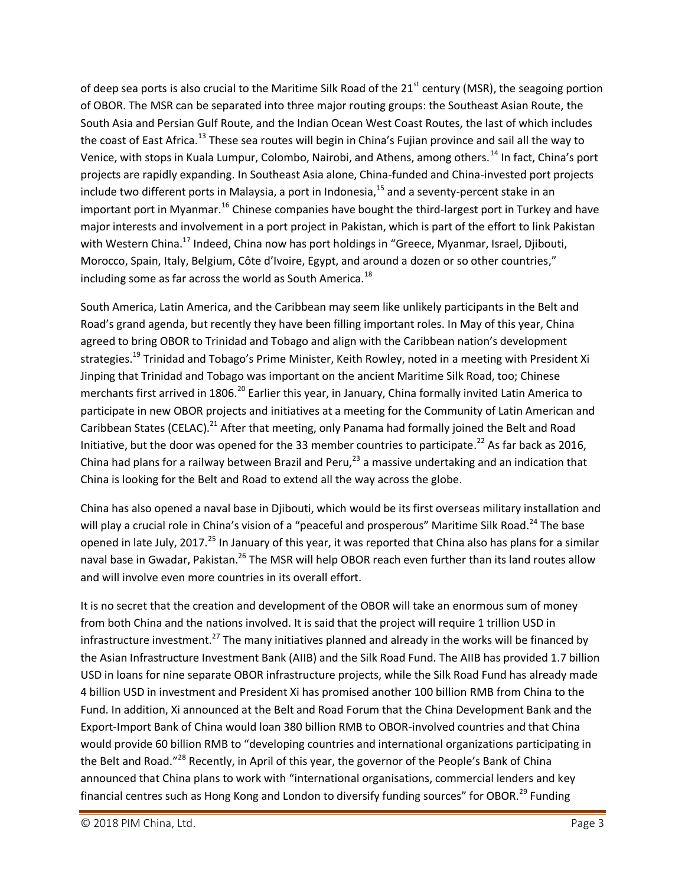of deep sea ports is also crucial to the Maritime Silk Road of the  $21<sup>st</sup>$  century (MSR), the seagoing portion of OBOR. The MSR can be separated into three major routing groups: the Southeast Asian Route, the South Asia and Persian Gulf Route, and the Indian Ocean West Coast Routes, the last of which includes the coast of East Africa.<sup>13</sup> These sea routes will begin in China's Fujian province and sail all the way to Venice, with stops in Kuala Lumpur, Colombo, Nairobi, and Athens, among others.<sup>14</sup> In fact, China's port projects are rapidly expanding. In Southeast Asia alone, China-funded and China-invested port projects include two different ports in Malaysia, a port in Indonesia, $^{15}$  and a seventy-percent stake in an important port in Myanmar.<sup>16</sup> Chinese companies have bought the third-largest port in Turkey and have major interests and involvement in a port project in Pakistan, which is part of the effort to link Pakistan with Western China.<sup>17</sup> Indeed, China now has port holdings in "Greece, Myanmar, Israel, Djibouti, Morocco, Spain, Italy, Belgium, Côte d'Ivoire, Egypt, and around a dozen or so other countries," including some as far across the world as South America.<sup>18</sup>

South America, Latin America, and the Caribbean may seem like unlikely participants in the Belt and Road's grand agenda, but recently they have been filling important roles. In May of this year, China agreed to bring OBOR to Trinidad and Tobago and align with the Caribbean nation's development strategies.<sup>19</sup> Trinidad and Tobago's Prime Minister, Keith Rowley, noted in a meeting with President Xi Jinping that Trinidad and Tobago was important on the ancient Maritime Silk Road, too; Chinese merchants first arrived in 1806.<sup>20</sup> Earlier this year, in January, China formally invited Latin America to participate in new OBOR projects and initiatives at a meeting for the Community of Latin American and Caribbean States (CELAC).<sup>21</sup> After that meeting, only Panama had formally joined the Belt and Road Initiative, but the door was opened for the 33 member countries to participate.<sup>22</sup> As far back as 2016, China had plans for a railway between Brazil and Peru, $^{23}$  a massive undertaking and an indication that China is looking for the Belt and Road to extend all the way across the globe.

China has also opened a naval base in Djibouti, which would be its first overseas military installation and will play a crucial role in China's vision of a "peaceful and prosperous" Maritime Silk Road.<sup>24</sup> The base opened in late July, 2017.<sup>25</sup> In January of this year, it was reported that China also has plans for a similar naval base in Gwadar, Pakistan.<sup>26</sup> The MSR will help OBOR reach even further than its land routes allow and will involve even more countries in its overall effort.

It is no secret that the creation and development of the OBOR will take an enormous sum of money from both China and the nations involved. It is said that the project will require 1 trillion USD in infrastructure investment.<sup>27</sup> The many initiatives planned and already in the works will be financed by the Asian Infrastructure Investment Bank (AIIB) and the Silk Road Fund. The AIIB has provided 1.7 billion USD in loans for nine separate OBOR infrastructure projects, while the Silk Road Fund has already made 4 billion USD in investment and President Xi has promised another 100 billion RMB from China to the Fund. In addition, Xi announced at the Belt and Road Forum that the China Development Bank and the Export-Import Bank of China would loan 380 billion RMB to OBOR-involved countries and that China would provide 60 billion RMB to "developing countries and international organizations participating in the Belt and Road."<sup>28</sup> Recently, in April of this year, the governor of the People's Bank of China announced that China plans to work with "international organisations, commercial lenders and key financial centres such as Hong Kong and London to diversify funding sources" for OBOR.<sup>29</sup> Funding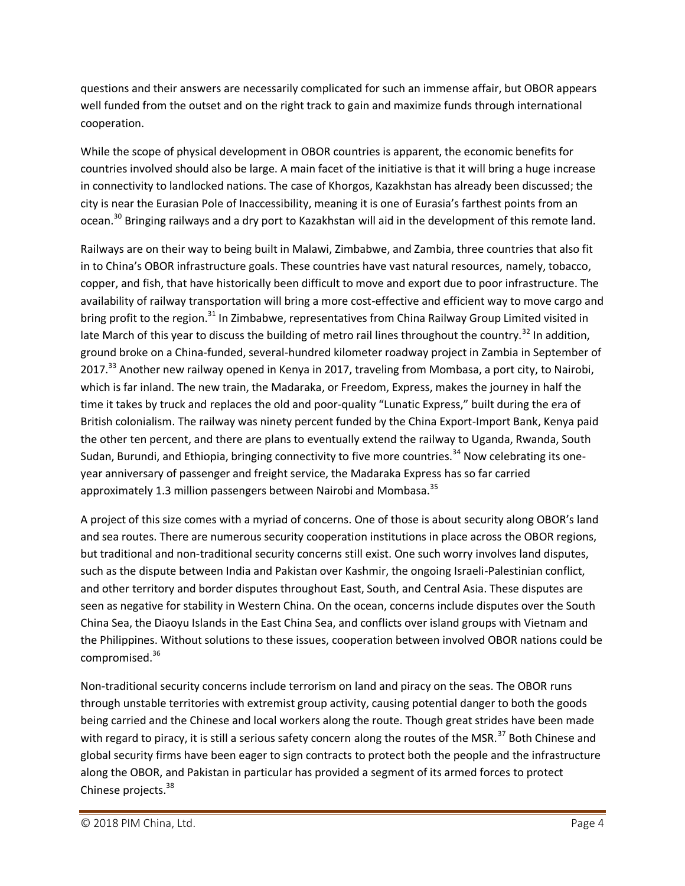questions and their answers are necessarily complicated for such an immense affair, but OBOR appears well funded from the outset and on the right track to gain and maximize funds through international cooperation.

While the scope of physical development in OBOR countries is apparent, the economic benefits for countries involved should also be large. A main facet of the initiative is that it will bring a huge increase in connectivity to landlocked nations. The case of Khorgos, Kazakhstan has already been discussed; the city is near the Eurasian Pole of Inaccessibility, meaning it is one of Eurasia's farthest points from an ocean.<sup>30</sup> Bringing railways and a dry port to Kazakhstan will aid in the development of this remote land.

Railways are on their way to being built in Malawi, Zimbabwe, and Zambia, three countries that also fit in to China's OBOR infrastructure goals. These countries have vast natural resources, namely, tobacco, copper, and fish, that have historically been difficult to move and export due to poor infrastructure. The availability of railway transportation will bring a more cost-effective and efficient way to move cargo and bring profit to the region.<sup>31</sup> In Zimbabwe, representatives from China Railway Group Limited visited in late March of this year to discuss the building of metro rail lines throughout the country.<sup>32</sup> In addition, ground broke on a China-funded, several-hundred kilometer roadway project in Zambia in September of 2017.<sup>33</sup> Another new railway opened in Kenya in 2017, traveling from Mombasa, a port city, to Nairobi, which is far inland. The new train, the Madaraka, or Freedom, Express, makes the journey in half the time it takes by truck and replaces the old and poor-quality "Lunatic Express," built during the era of British colonialism. The railway was ninety percent funded by the China Export-Import Bank, Kenya paid the other ten percent, and there are plans to eventually extend the railway to Uganda, Rwanda, South Sudan, Burundi, and Ethiopia, bringing connectivity to five more countries.<sup>34</sup> Now celebrating its oneyear anniversary of passenger and freight service, the Madaraka Express has so far carried approximately 1.3 million passengers between Nairobi and Mombasa.<sup>35</sup>

A project of this size comes with a myriad of concerns. One of those is about security along OBOR's land and sea routes. There are numerous security cooperation institutions in place across the OBOR regions, but traditional and non-traditional security concerns still exist. One such worry involves land disputes, such as the dispute between India and Pakistan over Kashmir, the ongoing Israeli-Palestinian conflict, and other territory and border disputes throughout East, South, and Central Asia. These disputes are seen as negative for stability in Western China. On the ocean, concerns include disputes over the South China Sea, the Diaoyu Islands in the East China Sea, and conflicts over island groups with Vietnam and the Philippines. Without solutions to these issues, cooperation between involved OBOR nations could be compromised.<sup>36</sup>

Non-traditional security concerns include terrorism on land and piracy on the seas. The OBOR runs through unstable territories with extremist group activity, causing potential danger to both the goods being carried and the Chinese and local workers along the route. Though great strides have been made with regard to piracy, it is still a serious safety concern along the routes of the MSR.<sup>37</sup> Both Chinese and global security firms have been eager to sign contracts to protect both the people and the infrastructure along the OBOR, and Pakistan in particular has provided a segment of its armed forces to protect Chinese projects.<sup>38</sup>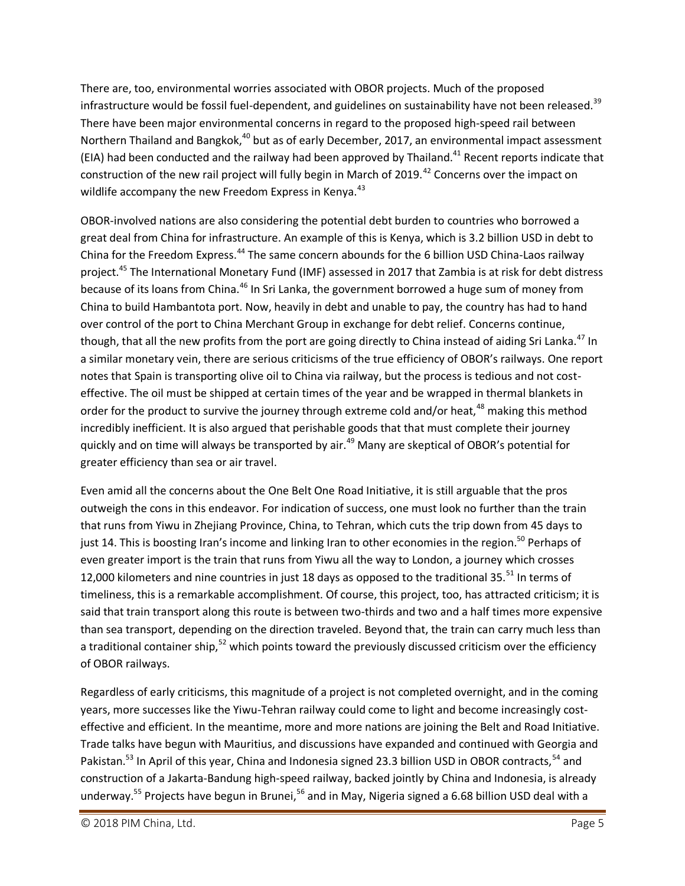There are, too, environmental worries associated with OBOR projects. Much of the proposed infrastructure would be fossil fuel-dependent, and guidelines on sustainability have not been released.<sup>39</sup> There have been major environmental concerns in regard to the proposed high-speed rail between Northern Thailand and Bangkok,<sup>40</sup> but as of early December, 2017, an environmental impact assessment (EIA) had been conducted and the railway had been approved by Thailand.<sup>41</sup> Recent reports indicate that construction of the new rail project will fully begin in March of 2019.<sup>42</sup> Concerns over the impact on wildlife accompany the new Freedom Express in Kenya.<sup>43</sup>

OBOR-involved nations are also considering the potential debt burden to countries who borrowed a great deal from China for infrastructure. An example of this is Kenya, which is 3.2 billion USD in debt to China for the Freedom Express.<sup>44</sup> The same concern abounds for the 6 billion USD China-Laos railway project.<sup>45</sup> The International Monetary Fund (IMF) assessed in 2017 that Zambia is at risk for debt distress because of its loans from China.<sup>46</sup> In Sri Lanka, the government borrowed a huge sum of money from China to build Hambantota port. Now, heavily in debt and unable to pay, the country has had to hand over control of the port to China Merchant Group in exchange for debt relief. Concerns continue, though, that all the new profits from the port are going directly to China instead of aiding Sri Lanka.<sup>47</sup> In a similar monetary vein, there are serious criticisms of the true efficiency of OBOR's railways. One report notes that Spain is transporting olive oil to China via railway, but the process is tedious and not costeffective. The oil must be shipped at certain times of the year and be wrapped in thermal blankets in order for the product to survive the journey through extreme cold and/or heat,<sup>48</sup> making this method incredibly inefficient. It is also argued that perishable goods that that must complete their journey quickly and on time will always be transported by air.<sup>49</sup> Many are skeptical of OBOR's potential for greater efficiency than sea or air travel.

Even amid all the concerns about the One Belt One Road Initiative, it is still arguable that the pros outweigh the cons in this endeavor. For indication of success, one must look no further than the train that runs from Yiwu in Zhejiang Province, China, to Tehran, which cuts the trip down from 45 days to just 14. This is boosting Iran's income and linking Iran to other economies in the region.<sup>50</sup> Perhaps of even greater import is the train that runs from Yiwu all the way to London, a journey which crosses 12,000 kilometers and nine countries in just 18 days as opposed to the traditional 35. $^{51}$  In terms of timeliness, this is a remarkable accomplishment. Of course, this project, too, has attracted criticism; it is said that train transport along this route is between two-thirds and two and a half times more expensive than sea transport, depending on the direction traveled. Beyond that, the train can carry much less than a traditional container ship,<sup>52</sup> which points toward the previously discussed criticism over the efficiency of OBOR railways.

Regardless of early criticisms, this magnitude of a project is not completed overnight, and in the coming years, more successes like the Yiwu-Tehran railway could come to light and become increasingly costeffective and efficient. In the meantime, more and more nations are joining the Belt and Road Initiative. Trade talks have begun with Mauritius, and discussions have expanded and continued with Georgia and Pakistan.<sup>53</sup> In April of this year, China and Indonesia signed 23.3 billion USD in OBOR contracts, <sup>54</sup> and construction of a Jakarta-Bandung high-speed railway, backed jointly by China and Indonesia, is already underway.<sup>55</sup> Projects have begun in Brunei,<sup>56</sup> and in May, Nigeria signed a 6.68 billion USD deal with a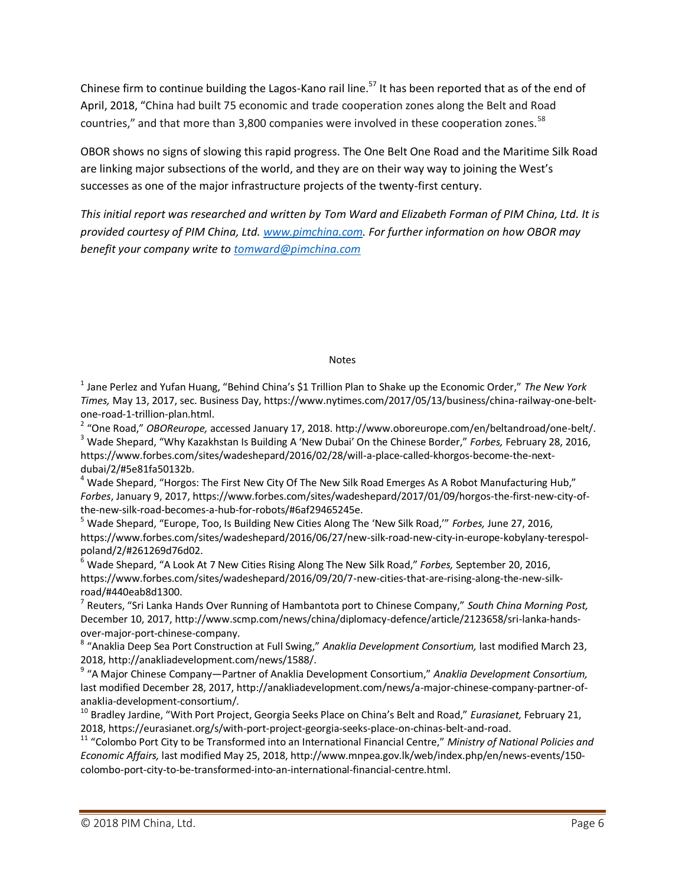Chinese firm to continue building the Lagos-Kano rail line.<sup>57</sup> It has been reported that as of the end of April, 2018, "China had built 75 economic and trade cooperation zones along the Belt and Road countries," and that more than 3,800 companies were involved in these cooperation zones.<sup>58</sup>

OBOR shows no signs of slowing this rapid progress. The One Belt One Road and the Maritime Silk Road are linking major subsections of the world, and they are on their way way to joining the West's successes as one of the major infrastructure projects of the twenty-first century.

*This initial report was researched and written by Tom Ward and Elizabeth Forman of PIM China, Ltd. It is provided courtesy of PIM China, Ltd. [www.pimchina.com.](http://www.pimchina.com/) For further information on how OBOR may benefit your company write to [tomward@pimchina.com](mailto:tomward@pimchina.com)*

## Notes

1 Jane Perlez and Yufan Huang, "Behind China's \$1 Trillion Plan to Shake up the Economic Order," *The New York Times,* May 13, 2017, sec. Business Day, https://www.nytimes.com/2017/05/13/business/china-railway-one-beltone-road-1-trillion-plan.html.

2 "One Road," *OBOReurope,* accessed January 17, 2018. http://www.oboreurope.com/en/beltandroad/one-belt/. <sup>3</sup> Wade Shepard, "Why Kazakhstan Is Building A 'New Dubai' On the Chinese Border," *Forbes,* February 28, 2016, https://www.forbes.com/sites/wadeshepard/2016/02/28/will-a-place-called-khorgos-become-the-nextdubai/2/#5e81fa50132b.

 $4$  Wade Shepard, "Horgos: The First New City Of The New Silk Road Emerges As A Robot Manufacturing Hub," *Forbes*, January 9, 2017, https://www.forbes.com/sites/wadeshepard/2017/01/09/horgos-the-first-new-city-ofthe-new-silk-road-becomes-a-hub-for-robots/#6af29465245e.

<sup>5</sup> Wade Shepard, "Europe, Too, Is Building New Cities Along The 'New Silk Road,'" *Forbes,* June 27, 2016, https://www.forbes.com/sites/wadeshepard/2016/06/27/new-silk-road-new-city-in-europe-kobylany-terespolpoland/2/#261269d76d02.

<sup>6</sup> Wade Shepard, "A Look At 7 New Cities Rising Along The New Silk Road," *Forbes,* September 20, 2016, https://www.forbes.com/sites/wadeshepard/2016/09/20/7-new-cities-that-are-rising-along-the-new-silkroad/#440eab8d1300.

7 Reuters, "Sri Lanka Hands Over Running of Hambantota port to Chinese Company," *South China Morning Post,* December 10, 2017, http://www.scmp.com/news/china/diplomacy-defence/article/2123658/sri-lanka-handsover-major-port-chinese-company.

8 "Anaklia Deep Sea Port Construction at Full Swing," *Anaklia Development Consortium,* last modified March 23, 2018, http://anakliadevelopment.com/news/1588/.

9 "A Major Chinese Company—Partner of Anaklia Development Consortium," *Anaklia Development Consortium,* last modified December 28, 2017, http://anakliadevelopment.com/news/a-major-chinese-company-partner-ofanaklia-development-consortium/.

<sup>10</sup> Bradley Jardine, "With Port Project, Georgia Seeks Place on China's Belt and Road," *Eurasianet,* February 21, 2018, https://eurasianet.org/s/with-port-project-georgia-seeks-place-on-chinas-belt-and-road.

<sup>11</sup> "Colombo Port City to be Transformed into an International Financial Centre," *Ministry of National Policies and Economic Affairs,* last modified May 25, 2018, http://www.mnpea.gov.lk/web/index.php/en/news-events/150 colombo-port-city-to-be-transformed-into-an-international-financial-centre.html.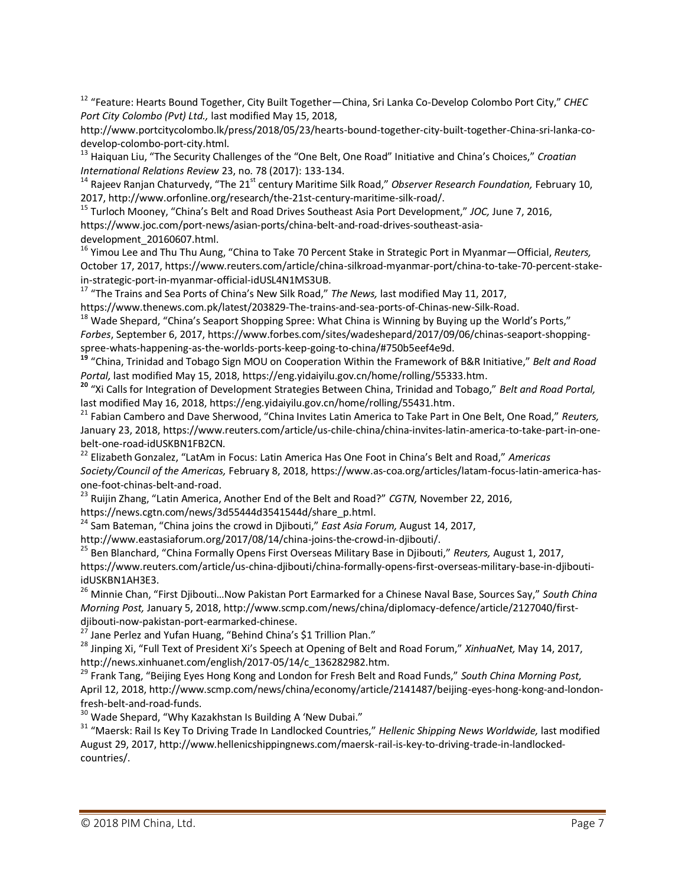<sup>12</sup> "Feature: Hearts Bound Together, City Built Together—China, Sri Lanka Co-Develop Colombo Port City," *CHEC Port City Colombo (Pvt) Ltd.,* last modified May 15, 2018,

http://www.portcitycolombo.lk/press/2018/05/23/hearts-bound-together-city-built-together-China-sri-lanka-codevelop-colombo-port-city.html.

<sup>13</sup> Haiquan Liu, "The Security Challenges of the "One Belt, One Road" Initiative and China's Choices," *Croatian International Relations Review* 23, no. 78 (2017): 133-134.

<sup>14</sup> Rajeev Ranjan Chaturvedy, "The 21st century Maritime Silk Road," *Observer Research Foundation,* February 10, 2017, http://www.orfonline.org/research/the-21st-century-maritime-silk-road/.

<sup>15</sup> Turloch Mooney, "China's Belt and Road Drives Southeast Asia Port Development," *JOC,* June 7, 2016, https://www.joc.com/port-news/asian-ports/china-belt-and-road-drives-southeast-asiadevelopment\_20160607.html.

<sup>16</sup> Yimou Lee and Thu Thu Aung, "China to Take 70 Percent Stake in Strategic Port in Myanmar—Official, *Reuters,* October 17, 2017, https://www.reuters.com/article/china-silkroad-myanmar-port/china-to-take-70-percent-stakein-strategic-port-in-myanmar-official-idUSL4N1MS3UB.

<sup>17</sup> "The Trains and Sea Ports of China's New Silk Road," *The News,* last modified May 11, 2017, https://www.thenews.com.pk/latest/203829-The-trains-and-sea-ports-of-Chinas-new-Silk-Road.

<sup>18</sup> Wade Shepard, "China's Seaport Shopping Spree: What China is Winning by Buying up the World's Ports,"

*Forbes*, September 6, 2017, https://www.forbes.com/sites/wadeshepard/2017/09/06/chinas-seaport-shoppingspree-whats-happening-as-the-worlds-ports-keep-going-to-china/#750b5eef4e9d.

**<sup>19</sup>** "China, Trinidad and Tobago Sign MOU on Cooperation Within the Framework of B&R Initiative," *Belt and Road Portal,* last modified May 15, 2018, https://eng.yidaiyilu.gov.cn/home/rolling/55333.htm.

**<sup>20</sup>** "Xi Calls for Integration of Development Strategies Between China, Trinidad and Tobago," *Belt and Road Portal,*  last modified May 16, 2018, https://eng.yidaiyilu.gov.cn/home/rolling/55431.htm.

<sup>21</sup> Fabian Cambero and Dave Sherwood, "China Invites Latin America to Take Part in One Belt, One Road," *Reuters,* January 23, 2018, https://www.reuters.com/article/us-chile-china/china-invites-latin-america-to-take-part-in-onebelt-one-road-idUSKBN1FB2CN.

<sup>22</sup> Elizabeth Gonzalez, "LatAm in Focus: Latin America Has One Foot in China's Belt and Road," *Americas Society/Council of the Americas,* February 8, 2018, https://www.as-coa.org/articles/latam-focus-latin-america-hasone-foot-chinas-belt-and-road.

<sup>23</sup> Ruijin Zhang, "Latin America, Another End of the Belt and Road?" *CGTN,* November 22, 2016,

https://news.cgtn.com/news/3d55444d3541544d/share\_p.html.

<sup>24</sup> Sam Bateman, "China joins the crowd in Djibouti," *East Asia Forum,* August 14, 2017,

http://www.eastasiaforum.org/2017/08/14/china-joins-the-crowd-in-djibouti/.

<sup>25</sup> Ben Blanchard, "China Formally Opens First Overseas Military Base in Djibouti," *Reuters,* August 1, 2017, https://www.reuters.com/article/us-china-djibouti/china-formally-opens-first-overseas-military-base-in-djiboutiidUSKBN1AH3E3.

<sup>26</sup> Minnie Chan, "First Djibouti…Now Pakistan Port Earmarked for a Chinese Naval Base, Sources Say," *South China Morning Post,* January 5, 2018, http://www.scmp.com/news/china/diplomacy-defence/article/2127040/firstdjibouti-now-pakistan-port-earmarked-chinese.

 $^{27}$  Jane Perlez and Yufan Huang, "Behind China's \$1 Trillion Plan."

<sup>28</sup> Jinping Xi, "Full Text of President Xi's Speech at Opening of Belt and Road Forum," *XinhuaNet,* May 14, 2017, http://news.xinhuanet.com/english/2017-05/14/c\_136282982.htm.

<sup>29</sup> Frank Tang, "Beijing Eyes Hong Kong and London for Fresh Belt and Road Funds," *South China Morning Post,* April 12, 2018, http://www.scmp.com/news/china/economy/article/2141487/beijing-eyes-hong-kong-and-londonfresh-belt-and-road-funds.

 $30$  Wade Shepard, "Why Kazakhstan Is Building A 'New Dubai."

<sup>31</sup> "Maersk: Rail Is Key To Driving Trade In Landlocked Countries," *Hellenic Shipping News Worldwide,* last modified August 29, 2017, http://www.hellenicshippingnews.com/maersk-rail-is-key-to-driving-trade-in-landlockedcountries/.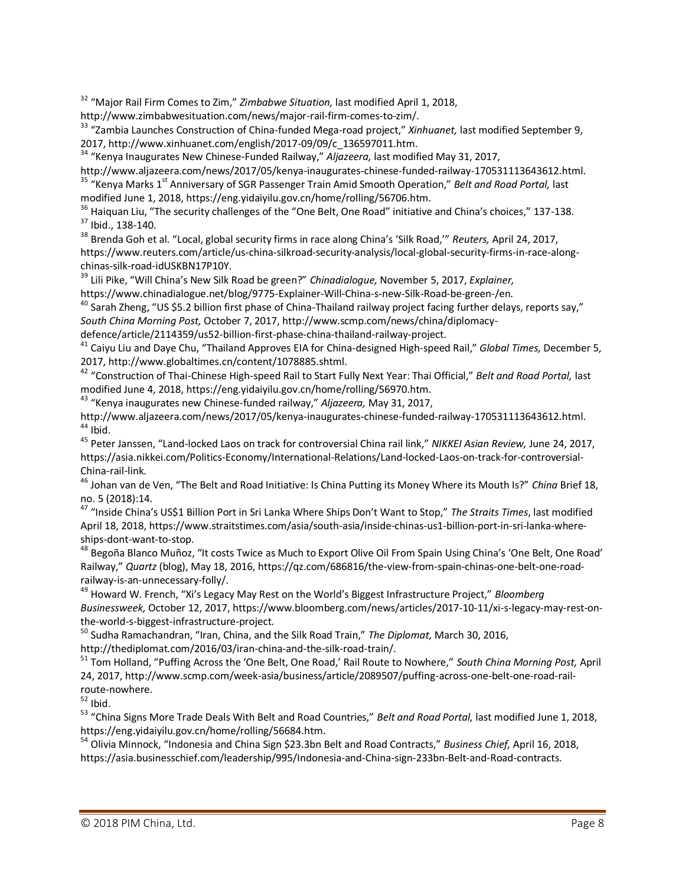<sup>32</sup> "Major Rail Firm Comes to Zim," *Zimbabwe Situation,* last modified April 1, 2018,

http://www.zimbabwesituation.com/news/major-rail-firm-comes-to-zim/.

<sup>33</sup> "Zambia Launches Construction of China-funded Mega-road project," *Xinhuanet,* last modified September 9, 2017, http://www.xinhuanet.com/english/2017-09/09/c\_136597011.htm.

<sup>34</sup> "Kenya Inaugurates New Chinese-Funded Railway," *Aljazeera,* last modified May 31, 2017,

http://www.aljazeera.com/news/2017/05/kenya-inaugurates-chinese-funded-railway-170531113643612.html. <sup>35</sup> "Kenya Marks 1<sup>st</sup> Anniversary of SGR Passenger Train Amid Smooth Operation," *Belt and Road Portal,* last

modified June 1, 2018, https://eng.yidaiyilu.gov.cn/home/rolling/56706.htm.

<sup>36</sup> Haiquan Liu, "The security challenges of the "One Belt, One Road" initiative and China's choices," 137-138. <sup>37</sup> Ibid., 138-140.

<sup>38</sup> Brenda Goh et al. "Local, global security firms in race along China's 'Silk Road,'" *Reuters,* April 24, 2017, https://www.reuters.com/article/us-china-silkroad-security-analysis/local-global-security-firms-in-race-alongchinas-silk-road-idUSKBN17P10Y.

<sup>39</sup> Lili Pike, "Will China's New Silk Road be green?" *Chinadialogue,* November 5, 2017, *Explainer,* https://www.chinadialogue.net/blog/9775-Explainer-Will-China-s-new-Silk-Road-be-green-/en.

 $^{40}$  Sarah Zheng, "US \$5.2 billion first phase of China-Thailand railway project facing further delays, reports say," *South China Morning Post,* October 7, 2017, http://www.scmp.com/news/china/diplomacydefence/article/2114359/us52-billion-first-phase-china-thailand-railway-project.

<sup>41</sup> Caiyu Liu and Daye Chu, "Thailand Approves EIA for China-designed High-speed Rail," *Global Times,* December 5, 2017, http://www.globaltimes.cn/content/1078885.shtml.

<sup>42</sup> "Construction of Thai-Chinese High-speed Rail to Start Fully Next Year: Thai Official," *Belt and Road Portal,* last modified June 4, 2018, https://eng.yidaiyilu.gov.cn/home/rolling/56970.htm.

<sup>43</sup> "Kenya inaugurates new Chinese-funded railway," *Aljazeera,* May 31, 2017,

http://www.aljazeera.com/news/2017/05/kenya-inaugurates-chinese-funded-railway-170531113643612.html.  $44$  Ibid.

<sup>45</sup> Peter Janssen, "Land-locked Laos on track for controversial China rail link," *NIKKEI Asian Review,* June 24, 2017, https://asia.nikkei.com/Politics-Economy/International-Relations/Land-locked-Laos-on-track-for-controversial-China-rail-link.

<sup>46</sup> Johan van de Ven, "The Belt and Road Initiative: Is China Putting its Money Where its Mouth Is?" *China* Brief 18, no. 5 (2018):14.

<sup>47</sup> "Inside China's US\$1 Billion Port in Sri Lanka Where Ships Don't Want to Stop," *The Straits Times*, last modified April 18, 2018, https://www.straitstimes.com/asia/south-asia/inside-chinas-us1-billion-port-in-sri-lanka-whereships-dont-want-to-stop.

48 Begoña Blanco Muñoz, "It costs Twice as Much to Export Olive Oil From Spain Using China's 'One Belt, One Road' Railway," *Quartz* (blog), May 18, 2016, https://qz.com/686816/the-view-from-spain-chinas-one-belt-one-roadrailway-is-an-unnecessary-folly/.

<sup>49</sup> Howard W. French, "Xi's Legacy May Rest on the World's Biggest Infrastructure Project," *Bloomberg Businessweek,* October 12, 2017, https://www.bloomberg.com/news/articles/2017-10-11/xi-s-legacy-may-rest-onthe-world-s-biggest-infrastructure-project.

<sup>50</sup> Sudha Ramachandran, "Iran, China, and the Silk Road Train," *The Diplomat,* March 30, 2016, http://thediplomat.com/2016/03/iran-china-and-the-silk-road-train/.

<sup>51</sup> Tom Holland, "Puffing Across the 'One Belt, One Road,' Rail Route to Nowhere," *South China Morning Post,* April 24, 2017, http://www.scmp.com/week-asia/business/article/2089507/puffing-across-one-belt-one-road-railroute-nowhere.

 $52$  Ibid.

<sup>53</sup> "China Signs More Trade Deals With Belt and Road Countries," *Belt and Road Portal,* last modified June 1, 2018, https://eng.yidaiyilu.gov.cn/home/rolling/56684.htm.

<sup>54</sup> Olivia Minnock, "Indonesia and China Sign \$23.3bn Belt and Road Contracts," *Business Chief,* April 16, 2018, https://asia.businesschief.com/leadership/995/Indonesia-and-China-sign-233bn-Belt-and-Road-contracts.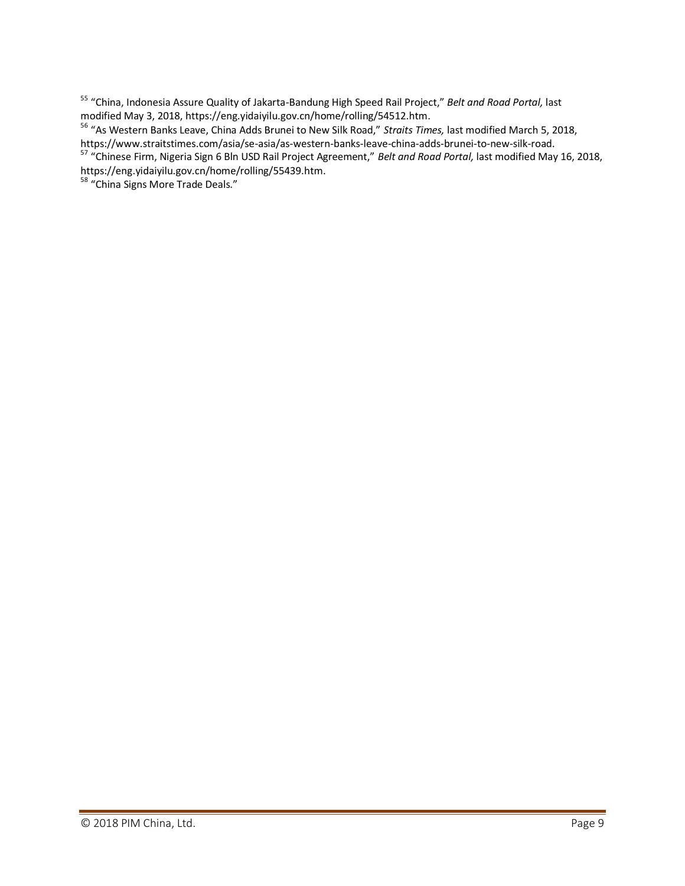<sup>55</sup> "China, Indonesia Assure Quality of Jakarta-Bandung High Speed Rail Project," *Belt and Road Portal,* last modified May 3, 2018, https://eng.yidaiyilu.gov.cn/home/rolling/54512.htm.

<sup>56</sup> "As Western Banks Leave, China Adds Brunei to New Silk Road," *Straits Times,* last modified March 5, 2018, https://www.straitstimes.com/asia/se-asia/as-western-banks-leave-china-adds-brunei-to-new-silk-road.

<sup>57</sup> "Chinese Firm, Nigeria Sign 6 Bln USD Rail Project Agreement," *Belt and Road Portal,* last modified May 16, 2018, https://eng.yidaiyilu.gov.cn/home/rolling/55439.htm.

<sup>58</sup> "China Signs More Trade Deals."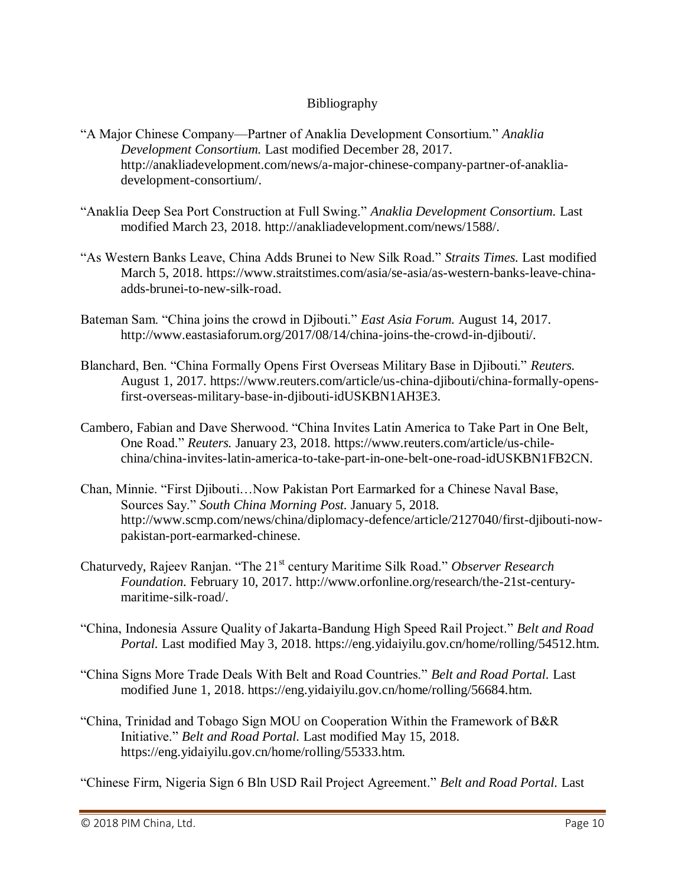## Bibliography

- "A Major Chinese Company—Partner of Anaklia Development Consortium." *Anaklia Development Consortium.* Last modified December 28, 2017. http://anakliadevelopment.com/news/a-major-chinese-company-partner-of-anakliadevelopment-consortium/.
- "Anaklia Deep Sea Port Construction at Full Swing." *Anaklia Development Consortium.* Last modified March 23, 2018. http://anakliadevelopment.com/news/1588/.
- "As Western Banks Leave, China Adds Brunei to New Silk Road." *Straits Times.* Last modified March 5, 2018. https://www.straitstimes.com/asia/se-asia/as-western-banks-leave-chinaadds-brunei-to-new-silk-road.
- Bateman Sam. "China joins the crowd in Djibouti." *East Asia Forum.* August 14, 2017. http://www.eastasiaforum.org/2017/08/14/china-joins-the-crowd-in-djibouti/.
- Blanchard, Ben. "China Formally Opens First Overseas Military Base in Djibouti." *Reuters.* August 1, 2017. https://www.reuters.com/article/us-china-djibouti/china-formally-opensfirst-overseas-military-base-in-djibouti-idUSKBN1AH3E3.
- Cambero, Fabian and Dave Sherwood. "China Invites Latin America to Take Part in One Belt, One Road." *Reuters.* January 23, 2018. https://www.reuters.com/article/us-chilechina/china-invites-latin-america-to-take-part-in-one-belt-one-road-idUSKBN1FB2CN.
- Chan, Minnie. "First Djibouti…Now Pakistan Port Earmarked for a Chinese Naval Base, Sources Say." *South China Morning Post.* January 5, 2018. http://www.scmp.com/news/china/diplomacy-defence/article/2127040/first-djibouti-nowpakistan-port-earmarked-chinese.
- Chaturvedy, Rajeev Ranjan. "The 21st century Maritime Silk Road." *Observer Research Foundation.* February 10, 2017. http://www.orfonline.org/research/the-21st-centurymaritime-silk-road/.
- "China, Indonesia Assure Quality of Jakarta-Bandung High Speed Rail Project." *Belt and Road Portal.* Last modified May 3, 2018. https://eng.yidaiyilu.gov.cn/home/rolling/54512.htm.
- "China Signs More Trade Deals With Belt and Road Countries." *Belt and Road Portal.* Last modified June 1, 2018. https://eng.yidaiyilu.gov.cn/home/rolling/56684.htm.
- "China, Trinidad and Tobago Sign MOU on Cooperation Within the Framework of B&R Initiative." *Belt and Road Portal.* Last modified May 15, 2018. https://eng.yidaiyilu.gov.cn/home/rolling/55333.htm.
- "Chinese Firm, Nigeria Sign 6 Bln USD Rail Project Agreement." *Belt and Road Portal.* Last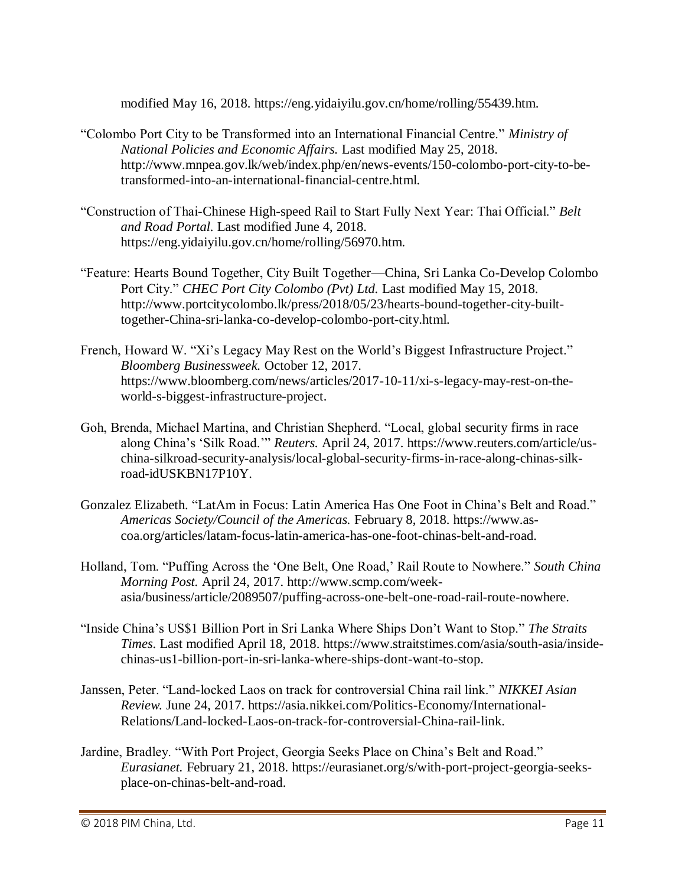modified May 16, 2018. https://eng.yidaiyilu.gov.cn/home/rolling/55439.htm.

- "Colombo Port City to be Transformed into an International Financial Centre." *Ministry of National Policies and Economic Affairs.* Last modified May 25, 2018. http://www.mnpea.gov.lk/web/index.php/en/news-events/150-colombo-port-city-to-betransformed-into-an-international-financial-centre.html.
- "Construction of Thai-Chinese High-speed Rail to Start Fully Next Year: Thai Official." *Belt and Road Portal.* Last modified June 4, 2018. https://eng.yidaiyilu.gov.cn/home/rolling/56970.htm.
- "Feature: Hearts Bound Together, City Built Together—China, Sri Lanka Co-Develop Colombo Port City." *CHEC Port City Colombo (Pvt) Ltd.* Last modified May 15, 2018. http://www.portcitycolombo.lk/press/2018/05/23/hearts-bound-together-city-builttogether-China-sri-lanka-co-develop-colombo-port-city.html.
- French, Howard W. "Xi's Legacy May Rest on the World's Biggest Infrastructure Project." *Bloomberg Businessweek.* October 12, 2017. https://www.bloomberg.com/news/articles/2017-10-11/xi-s-legacy-may-rest-on-theworld-s-biggest-infrastructure-project.
- Goh, Brenda, Michael Martina, and Christian Shepherd. "Local, global security firms in race along China's 'Silk Road.'" *Reuters.* April 24, 2017. https://www.reuters.com/article/uschina-silkroad-security-analysis/local-global-security-firms-in-race-along-chinas-silkroad-idUSKBN17P10Y.
- Gonzalez Elizabeth. "LatAm in Focus: Latin America Has One Foot in China's Belt and Road." *Americas Society/Council of the Americas.* February 8, 2018. https://www.ascoa.org/articles/latam-focus-latin-america-has-one-foot-chinas-belt-and-road.
- Holland, Tom. "Puffing Across the 'One Belt, One Road,' Rail Route to Nowhere." *South China Morning Post.* April 24, 2017. http://www.scmp.com/weekasia/business/article/2089507/puffing-across-one-belt-one-road-rail-route-nowhere.
- "Inside China's US\$1 Billion Port in Sri Lanka Where Ships Don't Want to Stop." *The Straits Times*. Last modified April 18, 2018. https://www.straitstimes.com/asia/south-asia/insidechinas-us1-billion-port-in-sri-lanka-where-ships-dont-want-to-stop.
- Janssen, Peter. "Land-locked Laos on track for controversial China rail link." *NIKKEI Asian Review.* June 24, 2017. https://asia.nikkei.com/Politics-Economy/International-Relations/Land-locked-Laos-on-track-for-controversial-China-rail-link.
- Jardine, Bradley. "With Port Project, Georgia Seeks Place on China's Belt and Road." *Eurasianet.* February 21, 2018. https://eurasianet.org/s/with-port-project-georgia-seeksplace-on-chinas-belt-and-road.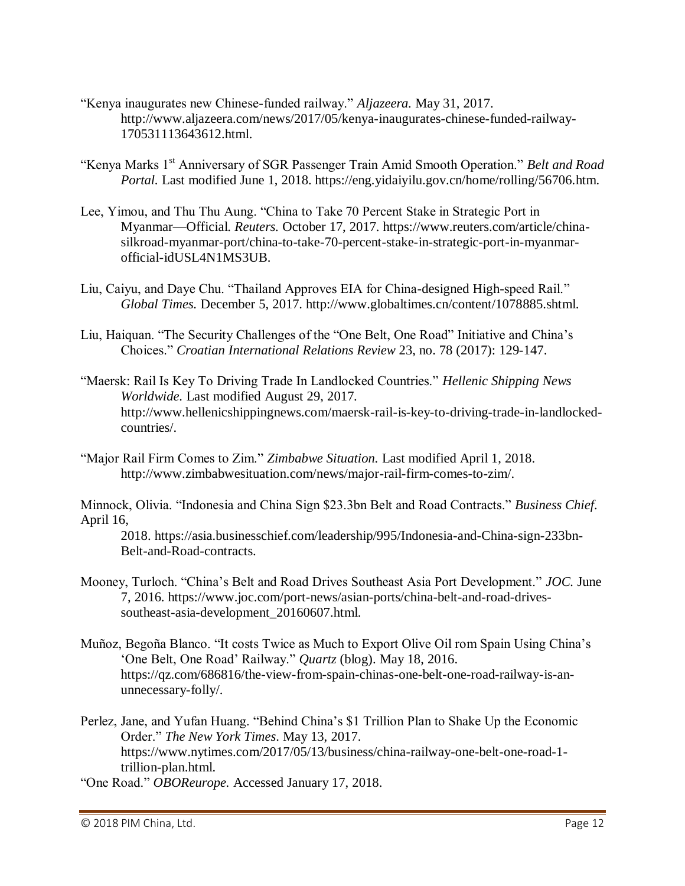- "Kenya inaugurates new Chinese-funded railway." *Aljazeera.* May 31, 2017. http://www.aljazeera.com/news/2017/05/kenya-inaugurates-chinese-funded-railway-170531113643612.html.
- "Kenya Marks 1<sup>st</sup> Anniversary of SGR Passenger Train Amid Smooth Operation." *Belt and Road Portal.* Last modified June 1, 2018. https://eng.yidaiyilu.gov.cn/home/rolling/56706.htm.
- Lee, Yimou, and Thu Thu Aung. "China to Take 70 Percent Stake in Strategic Port in Myanmar—Official. *Reuters.* October 17, 2017. https://www.reuters.com/article/chinasilkroad-myanmar-port/china-to-take-70-percent-stake-in-strategic-port-in-myanmarofficial-idUSL4N1MS3UB.
- Liu, Caiyu, and Daye Chu. "Thailand Approves EIA for China-designed High-speed Rail." *Global Times.* December 5, 2017. http://www.globaltimes.cn/content/1078885.shtml.
- Liu, Haiquan. "The Security Challenges of the "One Belt, One Road" Initiative and China's Choices." *Croatian International Relations Review* 23, no. 78 (2017): 129-147.
- "Maersk: Rail Is Key To Driving Trade In Landlocked Countries." *Hellenic Shipping News Worldwide.* Last modified August 29, 2017. http://www.hellenicshippingnews.com/maersk-rail-is-key-to-driving-trade-in-landlockedcountries/.
- "Major Rail Firm Comes to Zim." *Zimbabwe Situation.* Last modified April 1, 2018. http://www.zimbabwesituation.com/news/major-rail-firm-comes-to-zim/.

Minnock, Olivia. "Indonesia and China Sign \$23.3bn Belt and Road Contracts." *Business Chief.* April 16,

2018. https://asia.businesschief.com/leadership/995/Indonesia-and-China-sign-233bn-Belt-and-Road-contracts.

- Mooney, Turloch. "China's Belt and Road Drives Southeast Asia Port Development." *JOC.* June 7, 2016. https://www.joc.com/port-news/asian-ports/china-belt-and-road-drivessoutheast-asia-development\_20160607.html.
- Muñoz, Begoña Blanco. "It costs Twice as Much to Export Olive Oil rom Spain Using China's 'One Belt, One Road' Railway." *Quartz* (blog). May 18, 2016. https://qz.com/686816/the-view-from-spain-chinas-one-belt-one-road-railway-is-anunnecessary-folly/.
- Perlez, Jane, and Yufan Huang. "Behind China's \$1 Trillion Plan to Shake Up the Economic Order." *The New York Times*. May 13, 2017. https://www.nytimes.com/2017/05/13/business/china-railway-one-belt-one-road-1 trillion-plan.html.
- "One Road." *OBOReurope.* Accessed January 17, 2018.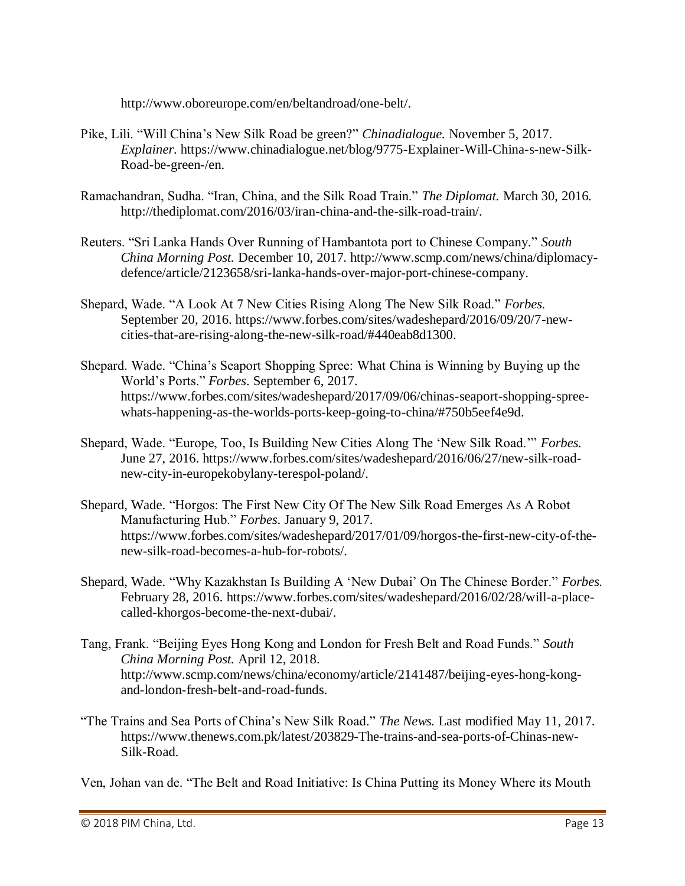http://www.oboreurope.com/en/beltandroad/one-belt/.

- Pike, Lili. "Will China's New Silk Road be green?" *Chinadialogue.* November 5, 2017. *Explainer*. https://www.chinadialogue.net/blog/9775-Explainer-Will-China-s-new-Silk-Road-be-green-/en.
- Ramachandran, Sudha. "Iran, China, and the Silk Road Train." *The Diplomat.* March 30, 2016. http://thediplomat.com/2016/03/iran-china-and-the-silk-road-train/.
- Reuters. "Sri Lanka Hands Over Running of Hambantota port to Chinese Company." *South China Morning Post.* December 10, 2017. http://www.scmp.com/news/china/diplomacydefence/article/2123658/sri-lanka-hands-over-major-port-chinese-company.
- Shepard, Wade. "A Look At 7 New Cities Rising Along The New Silk Road." *Forbes.* September 20, 2016. https://www.forbes.com/sites/wadeshepard/2016/09/20/7-newcities-that-are-rising-along-the-new-silk-road/#440eab8d1300.
- Shepard. Wade. "China's Seaport Shopping Spree: What China is Winning by Buying up the World's Ports." *Forbes*. September 6, 2017. https://www.forbes.com/sites/wadeshepard/2017/09/06/chinas-seaport-shopping-spreewhats-happening-as-the-worlds-ports-keep-going-to-china/#750b5eef4e9d.
- Shepard, Wade. "Europe, Too, Is Building New Cities Along The 'New Silk Road.'" *Forbes.* June 27, 2016. https://www.forbes.com/sites/wadeshepard/2016/06/27/new-silk-roadnew-city-in-europekobylany-terespol-poland/.
- Shepard, Wade. "Horgos: The First New City Of The New Silk Road Emerges As A Robot Manufacturing Hub." *Forbes*. January 9, 2017. https://www.forbes.com/sites/wadeshepard/2017/01/09/horgos-the-first-new-city-of-thenew-silk-road-becomes-a-hub-for-robots/.
- Shepard, Wade. "Why Kazakhstan Is Building A 'New Dubai' On The Chinese Border." *Forbes.* February 28, 2016. https://www.forbes.com/sites/wadeshepard/2016/02/28/will-a-placecalled-khorgos-become-the-next-dubai/.
- Tang, Frank. "Beijing Eyes Hong Kong and London for Fresh Belt and Road Funds." *South China Morning Post.* April 12, 2018. http://www.scmp.com/news/china/economy/article/2141487/beijing-eyes-hong-kongand-london-fresh-belt-and-road-funds.
- "The Trains and Sea Ports of China's New Silk Road." *The News.* Last modified May 11, 2017. https://www.thenews.com.pk/latest/203829-The-trains-and-sea-ports-of-Chinas-new-Silk-Road.

Ven, Johan van de. "The Belt and Road Initiative: Is China Putting its Money Where its Mouth